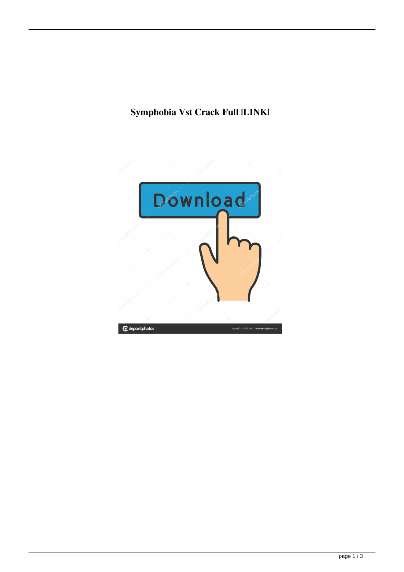## **Symphobia Vst Crack Full |LINK|**

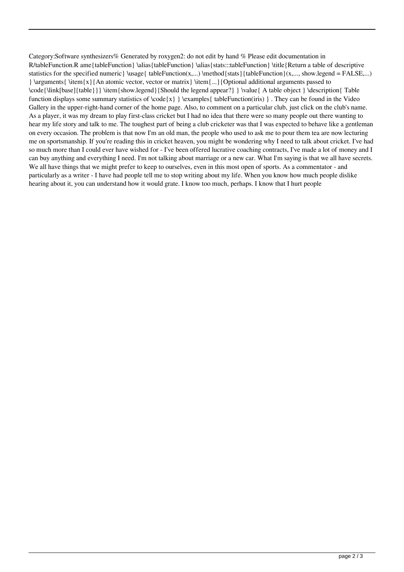Category:Software synthesizers% Generated by roxygen2: do not edit by hand % Please edit documentation in R/tableFunction.R ame{tableFunction} \alias{tableFunction} \alias{stats:::tableFunction} \title{Return a table of descriptive statistics for the specified numeric  $\u$ sage{ tableFunction(x,...) \method{stats}{tableFunction}(x,..., show.legend = FALSE,...)  $\{\text{ term}\{x\}\$ An atomic vector, vector or matrix  $\mathrm{...}\$ Optional additional arguments passed to \code{\link[base]{table}}} \item{show.legend}{Should the legend appear?} } \value{ A table object } \description{ Table function displays some summary statistics of  $\code{code{x} } \examples{ tableFunction(iris)}$ . They can be found in the Video Gallery in the upper-right-hand corner of the home page. Also, to comment on a particular club, just click on the club's name. As a player, it was my dream to play first-class cricket but I had no idea that there were so many people out there wanting to hear my life story and talk to me. The toughest part of being a club cricketer was that I was expected to behave like a gentleman on every occasion. The problem is that now I'm an old man, the people who used to ask me to pour them tea are now lecturing me on sportsmanship. If you're reading this in cricket heaven, you might be wondering why I need to talk about cricket. I've had so much more than I could ever have wished for - I've been offered lucrative coaching contracts, I've made a lot of money and I can buy anything and everything I need. I'm not talking about marriage or a new car. What I'm saying is that we all have secrets. We all have things that we might prefer to keep to ourselves, even in this most open of sports. As a commentator - and particularly as a writer - I have had people tell me to stop writing about my life. When you know how much people dislike hearing about it, you can understand how it would grate. I know too much, perhaps. I know that I hurt people